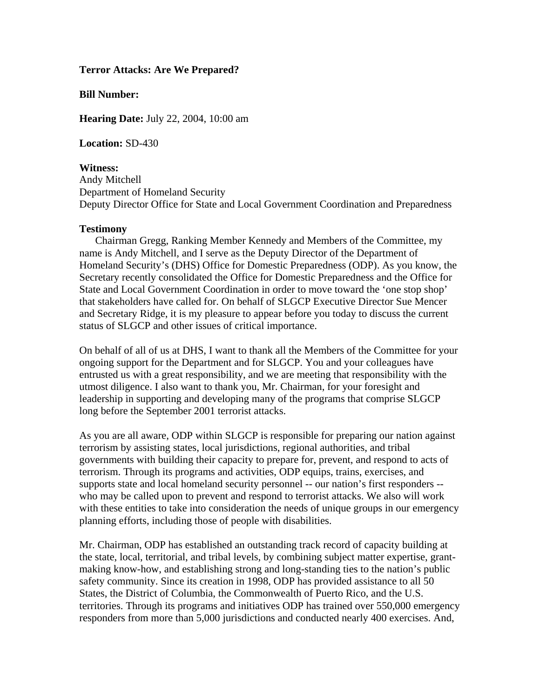## **Terror Attacks: Are We Prepared?**

## **Bill Number:**

**Hearing Date:** July 22, 2004, 10:00 am

**Location:** SD-430

**Witness:** Andy Mitchell Department of Homeland Security Deputy Director Office for State and Local Government Coordination and Preparedness

## **Testimony**

 Chairman Gregg, Ranking Member Kennedy and Members of the Committee, my name is Andy Mitchell, and I serve as the Deputy Director of the Department of Homeland Security's (DHS) Office for Domestic Preparedness (ODP). As you know, the Secretary recently consolidated the Office for Domestic Preparedness and the Office for State and Local Government Coordination in order to move toward the 'one stop shop' that stakeholders have called for. On behalf of SLGCP Executive Director Sue Mencer and Secretary Ridge, it is my pleasure to appear before you today to discuss the current status of SLGCP and other issues of critical importance.

On behalf of all of us at DHS, I want to thank all the Members of the Committee for your ongoing support for the Department and for SLGCP. You and your colleagues have entrusted us with a great responsibility, and we are meeting that responsibility with the utmost diligence. I also want to thank you, Mr. Chairman, for your foresight and leadership in supporting and developing many of the programs that comprise SLGCP long before the September 2001 terrorist attacks.

As you are all aware, ODP within SLGCP is responsible for preparing our nation against terrorism by assisting states, local jurisdictions, regional authorities, and tribal governments with building their capacity to prepare for, prevent, and respond to acts of terrorism. Through its programs and activities, ODP equips, trains, exercises, and supports state and local homeland security personnel -- our nation's first responders - who may be called upon to prevent and respond to terrorist attacks. We also will work with these entities to take into consideration the needs of unique groups in our emergency planning efforts, including those of people with disabilities.

Mr. Chairman, ODP has established an outstanding track record of capacity building at the state, local, territorial, and tribal levels, by combining subject matter expertise, grantmaking know-how, and establishing strong and long-standing ties to the nation's public safety community. Since its creation in 1998, ODP has provided assistance to all 50 States, the District of Columbia, the Commonwealth of Puerto Rico, and the U.S. territories. Through its programs and initiatives ODP has trained over 550,000 emergency responders from more than 5,000 jurisdictions and conducted nearly 400 exercises. And,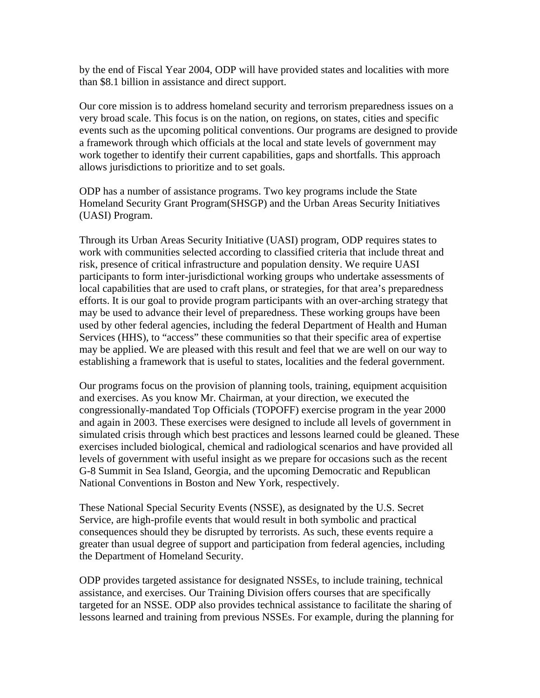by the end of Fiscal Year 2004, ODP will have provided states and localities with more than \$8.1 billion in assistance and direct support.

Our core mission is to address homeland security and terrorism preparedness issues on a very broad scale. This focus is on the nation, on regions, on states, cities and specific events such as the upcoming political conventions. Our programs are designed to provide a framework through which officials at the local and state levels of government may work together to identify their current capabilities, gaps and shortfalls. This approach allows jurisdictions to prioritize and to set goals.

ODP has a number of assistance programs. Two key programs include the State Homeland Security Grant Program(SHSGP) and the Urban Areas Security Initiatives (UASI) Program.

Through its Urban Areas Security Initiative (UASI) program, ODP requires states to work with communities selected according to classified criteria that include threat and risk, presence of critical infrastructure and population density. We require UASI participants to form inter-jurisdictional working groups who undertake assessments of local capabilities that are used to craft plans, or strategies, for that area's preparedness efforts. It is our goal to provide program participants with an over-arching strategy that may be used to advance their level of preparedness. These working groups have been used by other federal agencies, including the federal Department of Health and Human Services (HHS), to "access" these communities so that their specific area of expertise may be applied. We are pleased with this result and feel that we are well on our way to establishing a framework that is useful to states, localities and the federal government.

Our programs focus on the provision of planning tools, training, equipment acquisition and exercises. As you know Mr. Chairman, at your direction, we executed the congressionally-mandated Top Officials (TOPOFF) exercise program in the year 2000 and again in 2003. These exercises were designed to include all levels of government in simulated crisis through which best practices and lessons learned could be gleaned. These exercises included biological, chemical and radiological scenarios and have provided all levels of government with useful insight as we prepare for occasions such as the recent G-8 Summit in Sea Island, Georgia, and the upcoming Democratic and Republican National Conventions in Boston and New York, respectively.

These National Special Security Events (NSSE), as designated by the U.S. Secret Service, are high-profile events that would result in both symbolic and practical consequences should they be disrupted by terrorists. As such, these events require a greater than usual degree of support and participation from federal agencies, including the Department of Homeland Security.

ODP provides targeted assistance for designated NSSEs, to include training, technical assistance, and exercises. Our Training Division offers courses that are specifically targeted for an NSSE. ODP also provides technical assistance to facilitate the sharing of lessons learned and training from previous NSSEs. For example, during the planning for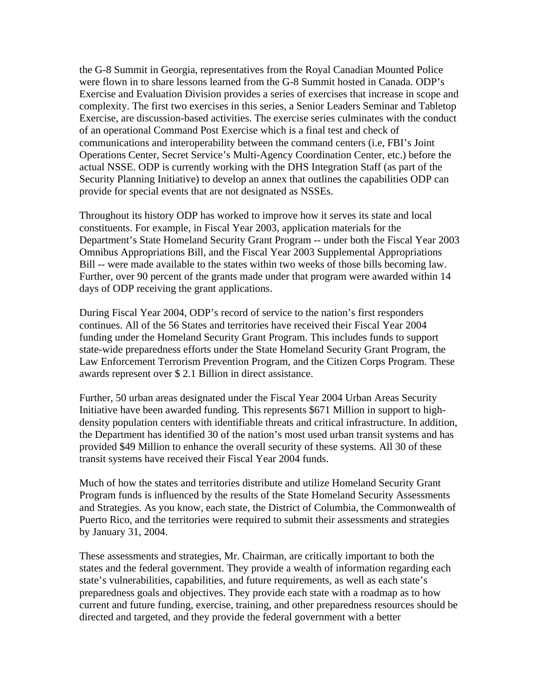the G-8 Summit in Georgia, representatives from the Royal Canadian Mounted Police were flown in to share lessons learned from the G-8 Summit hosted in Canada. ODP's Exercise and Evaluation Division provides a series of exercises that increase in scope and complexity. The first two exercises in this series, a Senior Leaders Seminar and Tabletop Exercise, are discussion-based activities. The exercise series culminates with the conduct of an operational Command Post Exercise which is a final test and check of communications and interoperability between the command centers (i.e, FBI's Joint Operations Center, Secret Service's Multi-Agency Coordination Center, etc.) before the actual NSSE. ODP is currently working with the DHS Integration Staff (as part of the Security Planning Initiative) to develop an annex that outlines the capabilities ODP can provide for special events that are not designated as NSSEs.

Throughout its history ODP has worked to improve how it serves its state and local constituents. For example, in Fiscal Year 2003, application materials for the Department's State Homeland Security Grant Program -- under both the Fiscal Year 2003 Omnibus Appropriations Bill, and the Fiscal Year 2003 Supplemental Appropriations Bill -- were made available to the states within two weeks of those bills becoming law. Further, over 90 percent of the grants made under that program were awarded within 14 days of ODP receiving the grant applications.

During Fiscal Year 2004, ODP's record of service to the nation's first responders continues. All of the 56 States and territories have received their Fiscal Year 2004 funding under the Homeland Security Grant Program. This includes funds to support state-wide preparedness efforts under the State Homeland Security Grant Program, the Law Enforcement Terrorism Prevention Program, and the Citizen Corps Program. These awards represent over \$ 2.1 Billion in direct assistance.

Further, 50 urban areas designated under the Fiscal Year 2004 Urban Areas Security Initiative have been awarded funding. This represents \$671 Million in support to highdensity population centers with identifiable threats and critical infrastructure. In addition, the Department has identified 30 of the nation's most used urban transit systems and has provided \$49 Million to enhance the overall security of these systems. All 30 of these transit systems have received their Fiscal Year 2004 funds.

Much of how the states and territories distribute and utilize Homeland Security Grant Program funds is influenced by the results of the State Homeland Security Assessments and Strategies. As you know, each state, the District of Columbia, the Commonwealth of Puerto Rico, and the territories were required to submit their assessments and strategies by January 31, 2004.

These assessments and strategies, Mr. Chairman, are critically important to both the states and the federal government. They provide a wealth of information regarding each state's vulnerabilities, capabilities, and future requirements, as well as each state's preparedness goals and objectives. They provide each state with a roadmap as to how current and future funding, exercise, training, and other preparedness resources should be directed and targeted, and they provide the federal government with a better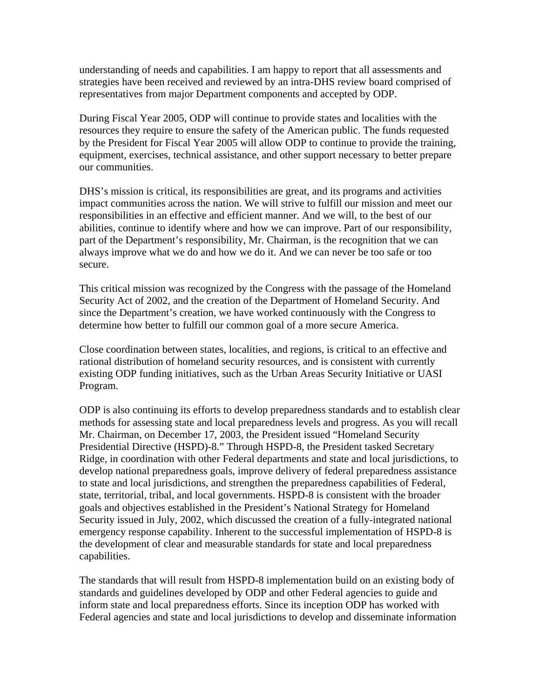understanding of needs and capabilities. I am happy to report that all assessments and strategies have been received and reviewed by an intra-DHS review board comprised of representatives from major Department components and accepted by ODP.

During Fiscal Year 2005, ODP will continue to provide states and localities with the resources they require to ensure the safety of the American public. The funds requested by the President for Fiscal Year 2005 will allow ODP to continue to provide the training, equipment, exercises, technical assistance, and other support necessary to better prepare our communities.

DHS's mission is critical, its responsibilities are great, and its programs and activities impact communities across the nation. We will strive to fulfill our mission and meet our responsibilities in an effective and efficient manner. And we will, to the best of our abilities, continue to identify where and how we can improve. Part of our responsibility, part of the Department's responsibility, Mr. Chairman, is the recognition that we can always improve what we do and how we do it. And we can never be too safe or too secure.

This critical mission was recognized by the Congress with the passage of the Homeland Security Act of 2002, and the creation of the Department of Homeland Security. And since the Department's creation, we have worked continuously with the Congress to determine how better to fulfill our common goal of a more secure America.

Close coordination between states, localities, and regions, is critical to an effective and rational distribution of homeland security resources, and is consistent with currently existing ODP funding initiatives, such as the Urban Areas Security Initiative or UASI Program.

ODP is also continuing its efforts to develop preparedness standards and to establish clear methods for assessing state and local preparedness levels and progress. As you will recall Mr. Chairman, on December 17, 2003, the President issued "Homeland Security Presidential Directive (HSPD)-8." Through HSPD-8, the President tasked Secretary Ridge, in coordination with other Federal departments and state and local jurisdictions, to develop national preparedness goals, improve delivery of federal preparedness assistance to state and local jurisdictions, and strengthen the preparedness capabilities of Federal, state, territorial, tribal, and local governments. HSPD-8 is consistent with the broader goals and objectives established in the President's National Strategy for Homeland Security issued in July, 2002, which discussed the creation of a fully-integrated national emergency response capability. Inherent to the successful implementation of HSPD-8 is the development of clear and measurable standards for state and local preparedness capabilities.

The standards that will result from HSPD-8 implementation build on an existing body of standards and guidelines developed by ODP and other Federal agencies to guide and inform state and local preparedness efforts. Since its inception ODP has worked with Federal agencies and state and local jurisdictions to develop and disseminate information